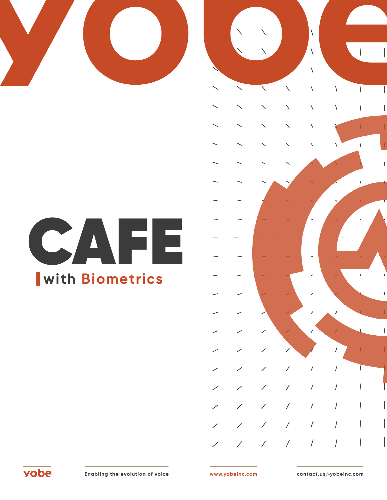



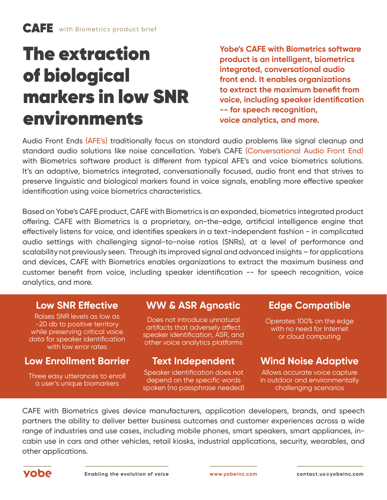# The extraction of biological markers in low SNR environments

**Yobe's CAFE with Biometrics software product is an intelligent, biometrics integrated, conversational audio front end. It enables organizations to extract the maximum benefit from voice, including speaker identification -- for speech recognition, voice analytics, and more.** 

Audio Front Ends (AFE's) traditionally focus on standard audio problems like signal cleanup and standard audio solutions like noise cancellation. Yobe's CAFE (Conversational Audio Front End) with Biometrics software product is different from typical AFE's and voice biometrics solutions. It's an adaptive, biometrics integrated, conversationally focused, audio front end that strives to preserve linguistic and biological markers found in voice signals, enabling more effective speaker identification using voice biometrics characteristics.

Based on Yobe's CAFE product, CAFE with Biometrics is an expanded, biometrics integrated product offering. CAFE with Biometrics is a proprietary, on-the-edge, artificial intelligence engine that effectively listens for voice, and identifies speakers in a text-independent fashion - in complicated audio settings with challenging signal-to-noise ratios (SNRs), at a level of performance and scalability not previously seen. Through its improved signal and advanced insights – for applications and devices, CAFE with Biometrics enables organizations to extract the maximum business and customer benefit from voice, including speaker identification -- for speech recognition, voice analytics, and more.

Raises SNR levels as low as -20 db to positive territory while preserving critical voice data for speaker identification with low error rates

## **Low Enrollment Barrier Text Independent Wind Noise Adaptive**

Three easy utterances to enroll a user's unique biomarkers

## **Low SNR Effective WW & ASR Agnostic Edge Compatible**

Does not introduce unnatural artifacts that adversely affect speaker identification, ASR, and other voice analytics platforms

Speaker identification does not depend on the specific words spoken (no passphrase needed)

Operates 100% on the edge with no need for Internet or cloud computing

Allows accurate voice capture in outdoor and environmentally challenging scenarios

CAFE with Biometrics gives device manufacturers, application developers, brands, and speech partners the ability to deliver better business outcomes and customer experiences across a wide range of industries and use cases, including mobile phones, smart speakers, smart appliances, incabin use in cars and other vehicles, retail kiosks, industrial applications, security, wearables, and other applications.